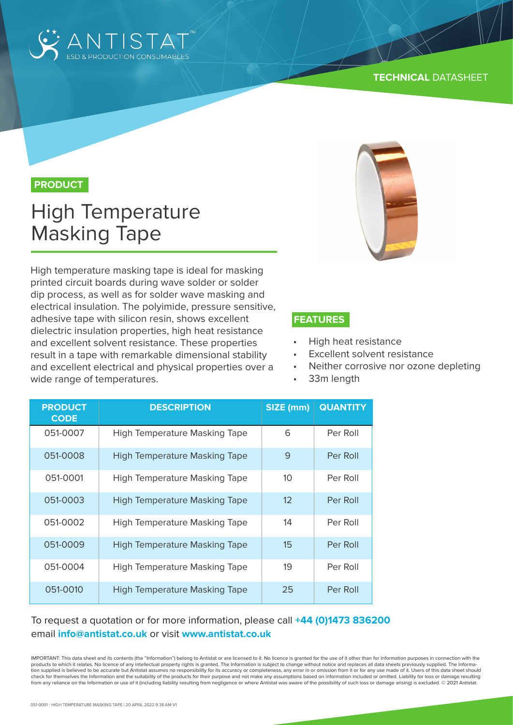

#### **TECHNICAL** DATASHEET

## **PRODUCT**

# High Temperature Masking Tape

High temperature masking tape is ideal for masking printed circuit boards during wave solder or solder dip process, as well as for solder wave masking and electrical insulation. The polyimide, pressure sensitive, adhesive tape with silicon resin, shows excellent dielectric insulation properties, high heat resistance and excellent solvent resistance. These properties result in a tape with remarkable dimensional stability and excellent electrical and physical properties over a wide range of temperatures.



#### **FEATURES**

- High heat resistance
- Excellent solvent resistance
- Neither corrosive nor ozone depleting
- 33m length

| <b>PRODUCT</b><br><b>CODE</b> | <b>DESCRIPTION</b>                   | SIZE (mm)       | <b>QUANTITY</b> |
|-------------------------------|--------------------------------------|-----------------|-----------------|
| 051-0007                      | <b>High Temperature Masking Tape</b> | 6               | Per Roll        |
| 051-0008                      | <b>High Temperature Masking Tape</b> | 9               | Per Roll        |
| 051-0001                      | High Temperature Masking Tape        | 10 <sup>°</sup> | Per Roll        |
| 051-0003                      | <b>High Temperature Masking Tape</b> | 12              | Per Roll        |
| 051-0002                      | High Temperature Masking Tape        | 14              | Per Roll        |
| 051-0009                      | <b>High Temperature Masking Tape</b> | 15              | Per Roll        |
| 051-0004                      | High Temperature Masking Tape        | 19              | Per Roll        |
| 051-0010                      | <b>High Temperature Masking Tape</b> | 25              | Per Roll        |

### To request a quotation or for more information, please call **+44 (0)1473 836200** email **info@antistat.co.uk** or visit **www.antistat.co.uk**

IMPORTANT: This data sheet and its contents (the "Information") belong to Antistat or are licensed to it. No licence is granted for the use of it other than for information purposes in connection with the products to which it relates. No licence of any intellectual property rights is granted. The Information is subject to change without notice and replaces all data sheets previously supplied. The Information supplied is believed to be accurate but Antistat assumes no responsibility for its accuracy or completeness, any error in or omission from it or for any use made of it. Users of this data sheet should check for themselves the Information and the suitability of the products for their purpose and not make any assumptions based on information included or omitted. Liability for loss or damage resulting from any reliance on the Information or use of it (including liability resulting from negligence or where Antistat was aware of the possibility of such loss or damage arising) is excluded. © 2021 Antistat.